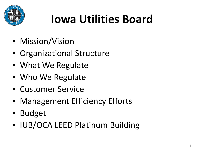

# **Iowa Utilities Board**

- Mission/Vision
- Organizational Structure
- What We Regulate
- Who We Regulate
- Customer Service
- Management Efficiency Efforts
- Budget
- IUB/OCA LEED Platinum Building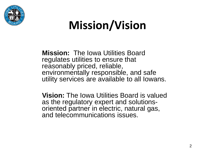

### **Mission/Vision**

**Mission:** The Iowa Utilities Board regulates utilities to ensure that reasonably priced, reliable, environmentally responsible, and safe utility services are available to all Iowans.

**Vision:** The Iowa Utilities Board is valued as the regulatory expert and solutionsoriented partner in electric, natural gas, and telecommunications issues.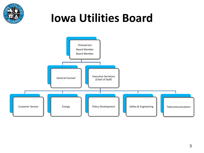

### **Iowa Utilities Board**

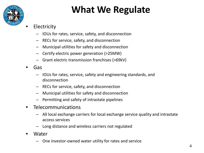

#### **What We Regulate**

- Electricity
	- IOUs for rates, service, safety, and disconnection
	- RECs for service, safety, and disconnection
	- Municipal utilities for safety and disconnection
	- Certify electric power generation (>25MW)
	- Grant electric transmission franchises (>69kV)
- Gas
	- IOUs for rates, service, safety and engineering standards, and disconnection
	- RECs for service, safety, and disconnection
	- Municipal utilities for safety and disconnection
	- Permitting and safety of intrastate pipelines
- **Telecommunications** 
	- All local exchange carriers for local exchange service quality and intrastate access services
	- Long distance and wireless carriers not regulated
- Water
	- One investor-owned water utility for rates and service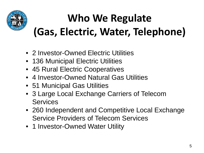

### **Who We Regulate (Gas, Electric, Water, Telephone)**

- 2 Investor-Owned Electric Utilities
- 136 Municipal Electric Utilities
- 45 Rural Electric Cooperatives
- 4 Investor-Owned Natural Gas Utilities
- 51 Municipal Gas Utilities
- 3 Large Local Exchange Carriers of Telecom **Services**
- 260 Independent and Competitive Local Exchange Service Providers of Telecom Services
- 1 Investor-Owned Water Utility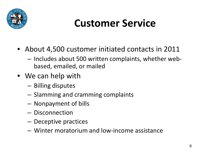

#### **Customer Service**

- About 4,500 customer initiated contacts in 2011
	- Includes about 500 written complaints, whether webbased, emailed, or mailed
- We can help with
	- Billing disputes
	- Slamming and cramming complaints
	- Nonpayment of bills
	- Disconnection
	- Deceptive practices
	- Winter moratorium and low-income assistance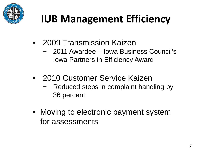

### **IUB Management Efficiency**

- 2009 Transmission Kaizen
	- − 2011 Awardee Iowa Business Council's Iowa Partners in Efficiency Award
- 2010 Customer Service Kaizen
	- − Reduced steps in complaint handling by 36 percent
- Moving to electronic payment system for assessments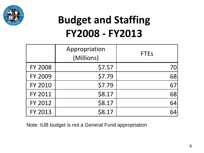

#### **Budget and Staffing FY2008 - FY2013**

|                | Appropriation<br>(Millions) | <b>FTEs</b> |
|----------------|-----------------------------|-------------|
| <b>FY 2008</b> | \$7.57                      | 70          |
| <b>FY 2009</b> | \$7.79                      | 68          |
| <b>FY 2010</b> | \$7.79                      | 67          |
| FY 2011        | \$8.17                      | 68          |
| FY 2012        | \$8.17                      | 64          |
| FY 2013        | \$8.17                      | 64          |

Note: IUB budget is not a General Fund appropriation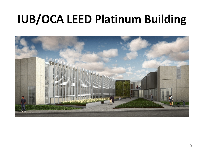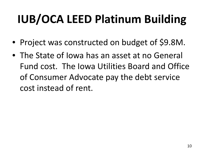- Project was constructed on budget of \$9.8M.
- The State of Iowa has an asset at no General Fund cost. The Iowa Utilities Board and Office of Consumer Advocate pay the debt service cost instead of rent.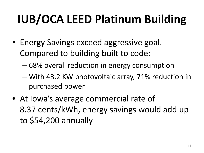- Energy Savings exceed aggressive goal. Compared to building built to code:
	- 68% overall reduction in energy consumption
	- With 43.2 KW photovoltaic array, 71% reduction in purchased power
- At lowa's average commercial rate of 8.37 cents/kWh, energy savings would add up to \$54,200 annually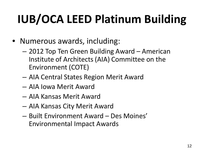- Numerous awards, including:
	- 2012 Top Ten Green Building Award American Institute of Architects (AIA) Committee on the Environment (COTE)
	- AIA Central States Region Merit Award
	- AIA Iowa Merit Award
	- AIA Kansas Merit Award
	- AIA Kansas City Merit Award
	- Built Environment Award Des Moines' Environmental Impact Awards